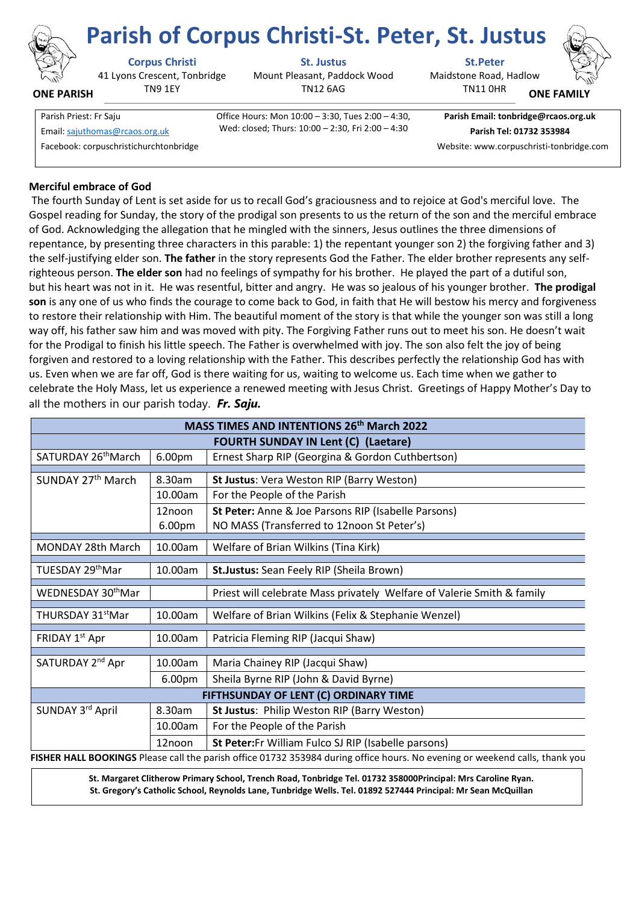

**ONE PARISH**

41 Lyons Crescent, Tonbridge TN9 1EY

**Corpus Christi St. Justus St.Peter**

Mount Pleasant, Paddock Wood TN12 6AG

**Parish of Corpus Christi-St. Peter, St. Justus**

Maidstone Road, Hadlow TN11 0HR



**ONE FAMI** 

Parish Priest: Fr Saju Office Hours: Mon 10:00 – 3:30, Tues 2:00 – 4:30, Wed: closed; Thurs: 10:00 – 2:30, Fri 2:00 – 4:30 Email[: sajuthomas@rcaos.org.uk](about:blank) **Parish Tel: 01732 353984**

**Parish Email: tonbridge@rcaos.org.uk**

Facebook: corpuschristichurchtonbridge Website: www.corpuschristi-tonbridge.com

# **Merciful embrace of God**

The fourth Sunday of Lent is set aside for us to recall God's graciousness and to rejoice at God's merciful love. The Gospel reading for Sunday, the story of the prodigal son presents to us the return of the son and the merciful embrace of God. Acknowledging the allegation that he mingled with the sinners, Jesus outlines the three dimensions of repentance, by presenting three characters in this parable: 1) the repentant younger son 2) the forgiving father and 3) the self-justifying elder son. **The father** in the story represents God the Father. The elder brother represents any selfrighteous person. **The elder son** had no feelings of sympathy for his brother. He played the part of a dutiful son, but his heart was not in it. He was resentful, bitter and angry. He was so jealous of his younger brother. **The prodigal son** is any one of us who finds the courage to come back to God, in faith that He will bestow his mercy and forgiveness to restore their relationship with Him. The beautiful moment of the story is that while the younger son was still a long way off, his father saw him and was moved with pity. The Forgiving Father runs out to meet his son. He doesn't wait for the Prodigal to finish his little speech. The Father is overwhelmed with joy. The son also felt the joy of being forgiven and restored to a loving relationship with the Father. This describes perfectly the relationship God has with us. Even when we are far off, God is there waiting for us, waiting to welcome us. Each time when we gather to celebrate the Holy Mass, let us experience a renewed meeting with Jesus Christ. Greetings of Happy Mother's Day to all the mothers in our parish today. *Fr. Saju.* 

| <b>MASS TIMES AND INTENTIONS 26th March 2022</b>                                                                            |                    |                                                                        |
|-----------------------------------------------------------------------------------------------------------------------------|--------------------|------------------------------------------------------------------------|
| <b>FOURTH SUNDAY IN Lent (C) (Laetare)</b>                                                                                  |                    |                                                                        |
| SATURDAY 26 <sup>th</sup> March                                                                                             | 6.00pm             | Ernest Sharp RIP (Georgina & Gordon Cuthbertson)                       |
| SUNDAY 27 <sup>th</sup> March                                                                                               | 8.30am             | St Justus: Vera Weston RIP (Barry Weston)                              |
|                                                                                                                             | 10.00am            | For the People of the Parish                                           |
|                                                                                                                             | 12noon             | St Peter: Anne & Joe Parsons RIP (Isabelle Parsons)                    |
|                                                                                                                             | 6.00pm             | NO MASS (Transferred to 12noon St Peter's)                             |
| <b>MONDAY 28th March</b>                                                                                                    | 10.00am            | Welfare of Brian Wilkins (Tina Kirk)                                   |
| TUESDAY 29thMar                                                                                                             | 10.00am            | St.Justus: Sean Feely RIP (Sheila Brown)                               |
| WEDNESDAY 30 <sup>th</sup> Mar                                                                                              |                    | Priest will celebrate Mass privately Welfare of Valerie Smith & family |
| THURSDAY 31 <sup>st</sup> Mar                                                                                               | 10.00am            | Welfare of Brian Wilkins (Felix & Stephanie Wenzel)                    |
| FRIDAY 1 <sup>st</sup> Apr                                                                                                  | 10.00am            | Patricia Fleming RIP (Jacqui Shaw)                                     |
| SATURDAY 2 <sup>nd</sup> Apr                                                                                                | 10.00am            | Maria Chainey RIP (Jacqui Shaw)                                        |
|                                                                                                                             | 6.00 <sub>pm</sub> | Sheila Byrne RIP (John & David Byrne)                                  |
| FIFTHSUNDAY OF LENT (C) ORDINARY TIME                                                                                       |                    |                                                                        |
| SUNDAY 3rd April                                                                                                            | 8.30am             | St Justus: Philip Weston RIP (Barry Weston)                            |
|                                                                                                                             | 10.00am            | For the People of the Parish                                           |
|                                                                                                                             | 12noon             | St Peter: Fr William Fulco SJ RIP (Isabelle parsons)                   |
| FISHER HALL BOOKINGS Please call the parish office 01732 353984 during office hours. No evening or weekend calls, thank you |                    |                                                                        |

**St. Margaret Clitherow Primary School, Trench Road, Tonbridge Tel. 01732 358000Principal: Mrs Caroline Ryan. St. Gregory's Catholic School, Reynolds Lane, Tunbridge Wells. Tel. 01892 527444 Principal: Mr Sean McQuillan**